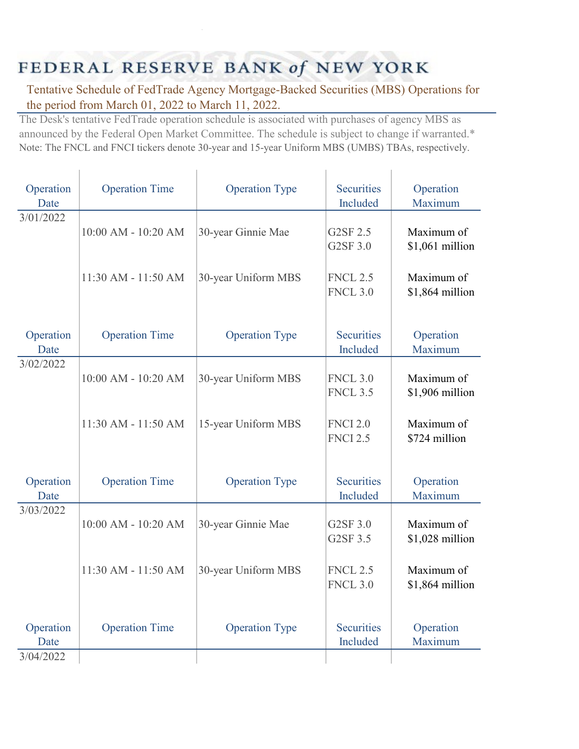## FEDERAL RESERVE BANK of NEW YORK

Tentative Schedule of FedTrade Agency Mortgage-Backed Securities (MBS) Operations for the period from March 01, 2022 to March 11, 2022.

The Desk's tentative FedTrade operation schedule is associated with purchases of agency MBS as announced by the Federal Open Market Committee. The schedule is subject to change if warranted.\* Note: The FNCL and FNCI tickers denote 30-year and 15-year Uniform MBS (UMBS) TBAs, respectively.

| Operation<br>Date              | <b>Operation Time</b>   | <b>Operation Type</b> | <b>Securities</b><br>Included      | Operation<br>Maximum          |
|--------------------------------|-------------------------|-----------------------|------------------------------------|-------------------------------|
| 3/01/2022                      | 10:00 AM - 10:20 AM     | 30-year Ginnie Mae    | G2SF 2.5<br>G2SF 3.0               | Maximum of<br>\$1,061 million |
|                                | 11:30 AM - 11:50 AM     | 30-year Uniform MBS   | <b>FNCL 2.5</b><br><b>FNCL 3.0</b> | Maximum of<br>\$1,864 million |
| Operation<br>Date              | <b>Operation Time</b>   | <b>Operation Type</b> | <b>Securities</b><br>Included      | Operation<br>Maximum          |
| 3/02/2022                      | $10:00$ AM - $10:20$ AM | 30-year Uniform MBS   | <b>FNCL 3.0</b><br><b>FNCL 3.5</b> | Maximum of<br>\$1,906 million |
|                                | 11:30 AM - 11:50 AM     | 15-year Uniform MBS   | <b>FNCI 2.0</b><br><b>FNCI 2.5</b> | Maximum of<br>\$724 million   |
| Operation<br>Date              | <b>Operation Time</b>   | <b>Operation Type</b> | <b>Securities</b><br>Included      | Operation<br>Maximum          |
| 3/03/2022                      | 10:00 AM - 10:20 AM     | 30-year Ginnie Mae    | G2SF 3.0<br>G2SF 3.5               | Maximum of<br>\$1,028 million |
|                                | 11:30 AM - 11:50 AM     | 30-year Uniform MBS   | <b>FNCL 2.5</b><br><b>FNCL 3.0</b> | Maximum of<br>\$1,864 million |
| Operation<br>Date<br>3/04/2022 | <b>Operation Time</b>   | <b>Operation Type</b> | <b>Securities</b><br>Included      | Operation<br>Maximum          |
|                                |                         |                       |                                    |                               |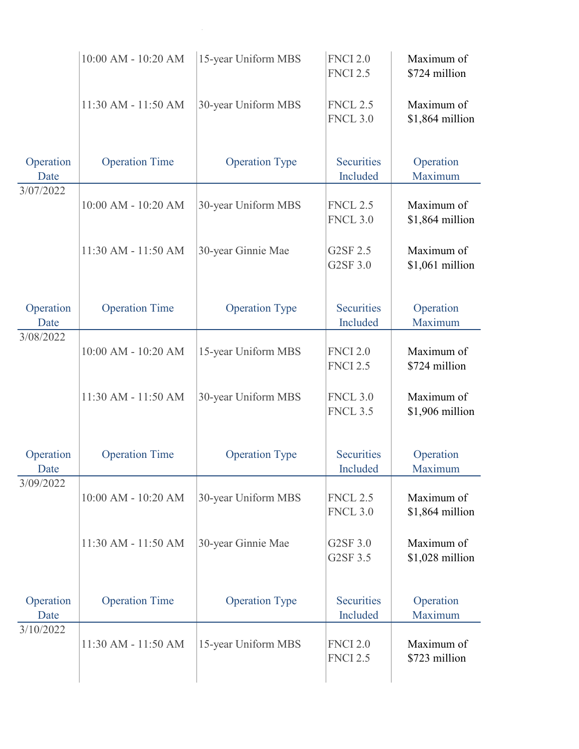|                   | 10:00 AM - 10:20 AM   | 15-year Uniform MBS   | <b>FNCI 2.0</b><br><b>FNCI 2.5</b> | Maximum of<br>\$724 million   |
|-------------------|-----------------------|-----------------------|------------------------------------|-------------------------------|
|                   | 11:30 AM - 11:50 AM   | 30-year Uniform MBS   | <b>FNCL 2.5</b><br><b>FNCL 3.0</b> | Maximum of<br>\$1,864 million |
| Operation<br>Date | <b>Operation Time</b> | <b>Operation Type</b> | <b>Securities</b><br>Included      | Operation<br>Maximum          |
| 3/07/2022         | 10:00 AM - 10:20 AM   | 30-year Uniform MBS   | <b>FNCL 2.5</b><br><b>FNCL 3.0</b> | Maximum of<br>\$1,864 million |
|                   | 11:30 AM - 11:50 AM   | 30-year Ginnie Mae    | G2SF 2.5<br>G2SF 3.0               | Maximum of<br>\$1,061 million |
| Operation<br>Date | <b>Operation Time</b> | <b>Operation Type</b> | <b>Securities</b><br>Included      | Operation<br>Maximum          |
| 3/08/2022         | 10:00 AM - 10:20 AM   | 15-year Uniform MBS   | <b>FNCI 2.0</b><br><b>FNCI 2.5</b> | Maximum of<br>\$724 million   |
|                   | 11:30 AM - 11:50 AM   | 30-year Uniform MBS   | <b>FNCL 3.0</b><br><b>FNCL 3.5</b> | Maximum of<br>\$1,906 million |
| Operation<br>Date | <b>Operation Time</b> | <b>Operation Type</b> | <b>Securities</b><br>Included      | Operation<br>Maximum          |
| 3/09/2022         | 10:00 AM - 10:20 AM   | 30-year Uniform MBS   | <b>FNCL 2.5</b><br><b>FNCL 3.0</b> | Maximum of<br>\$1,864 million |
|                   | 11:30 AM - 11:50 AM   | 30-year Ginnie Mae    | G2SF 3.0<br>G2SF 3.5               | Maximum of<br>\$1,028 million |
| Operation<br>Date | <b>Operation Time</b> | <b>Operation Type</b> | <b>Securities</b><br>Included      | Operation<br>Maximum          |
| 3/10/2022         | 11:30 AM - 11:50 AM   | 15-year Uniform MBS   | <b>FNCI 2.0</b><br><b>FNCI 2.5</b> | Maximum of<br>\$723 million   |